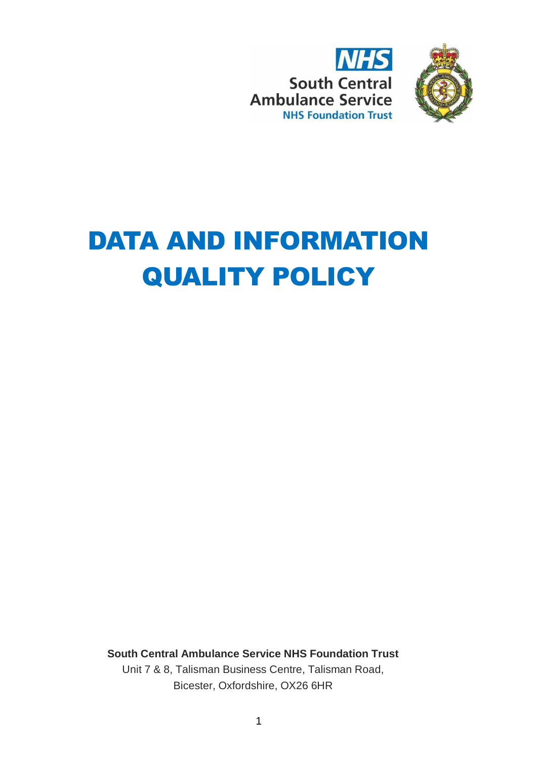



# DATA AND INFORMATION QUALITY POLICY

**South Central Ambulance Service NHS Foundation Trust** Unit 7 & 8, Talisman Business Centre, Talisman Road, Bicester, Oxfordshire, OX26 6HR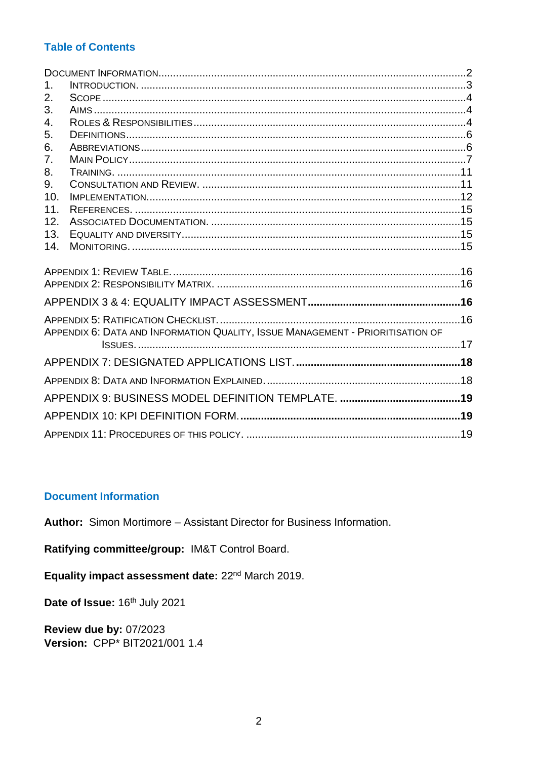## **Table of Contents**

| 1.               |                                                                                |  |
|------------------|--------------------------------------------------------------------------------|--|
| 2.               |                                                                                |  |
| 3.               |                                                                                |  |
| $\overline{4}$ . |                                                                                |  |
| 5.               |                                                                                |  |
| 6.               |                                                                                |  |
| 7 <sub>1</sub>   |                                                                                |  |
| 8.               |                                                                                |  |
| 9.               |                                                                                |  |
| 10.              |                                                                                |  |
| 11.              |                                                                                |  |
| 12.              |                                                                                |  |
| 13.<br>14.       |                                                                                |  |
|                  |                                                                                |  |
|                  |                                                                                |  |
|                  |                                                                                |  |
|                  |                                                                                |  |
|                  |                                                                                |  |
|                  |                                                                                |  |
|                  |                                                                                |  |
|                  | APPENDIX 6: DATA AND INFORMATION QUALITY, ISSUE MANAGEMENT - PRIORITISATION OF |  |
|                  |                                                                                |  |
|                  |                                                                                |  |
|                  |                                                                                |  |
|                  |                                                                                |  |
|                  |                                                                                |  |

## <span id="page-1-0"></span>**Document Information**

Author: Simon Mortimore – Assistant Director for Business Information.

Ratifying committee/group: IM&T Control Board.

Equality impact assessment date: 22<sup>nd</sup> March 2019.

Date of Issue: 16th July 2021

**Review due by: 07/2023** Version: CPP\* BIT2021/001 1.4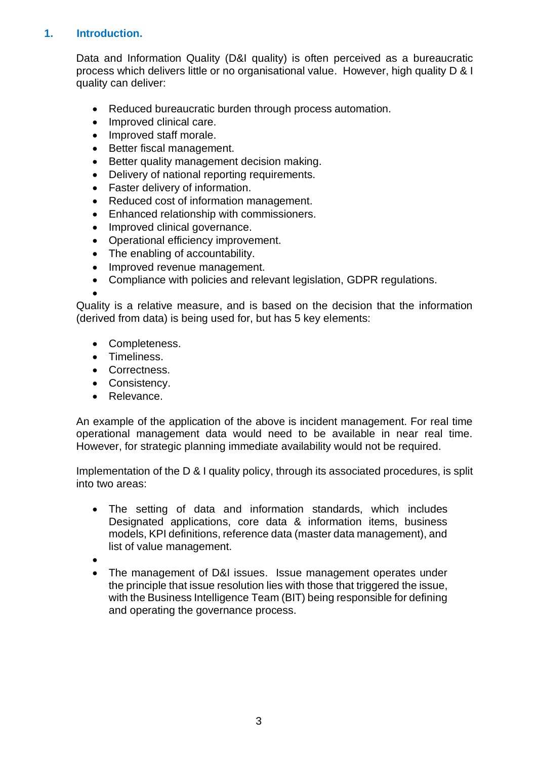## <span id="page-2-0"></span>**1. Introduction.**

Data and Information Quality (D&I quality) is often perceived as a bureaucratic process which delivers little or no organisational value. However, high quality D & I quality can deliver:

- Reduced bureaucratic burden through process automation.
- Improved clinical care.
- Improved staff morale.
- Better fiscal management.
- Better quality management decision making.
- Delivery of national reporting requirements.
- Faster delivery of information.
- Reduced cost of information management.
- Enhanced relationship with commissioners.
- Improved clinical governance.
- Operational efficiency improvement.
- The enabling of accountability.
- Improved revenue management.
- Compliance with policies and relevant legislation, GDPR regulations.

• Quality is a relative measure, and is based on the decision that the information (derived from data) is being used for, but has 5 key elements:

- Completeness.
- Timeliness.
- Correctness.
- Consistency.
- Relevance.

An example of the application of the above is incident management. For real time operational management data would need to be available in near real time. However, for strategic planning immediate availability would not be required.

Implementation of the D & I quality policy, through its associated procedures, is split into two areas:

- The setting of data and information standards, which includes Designated applications, core data & information items, business models, KPI definitions, reference data (master data management), and list of value management.
- •
- The management of D&I issues. Issue management operates under the principle that issue resolution lies with those that triggered the issue, with the Business Intelligence Team (BIT) being responsible for defining and operating the governance process.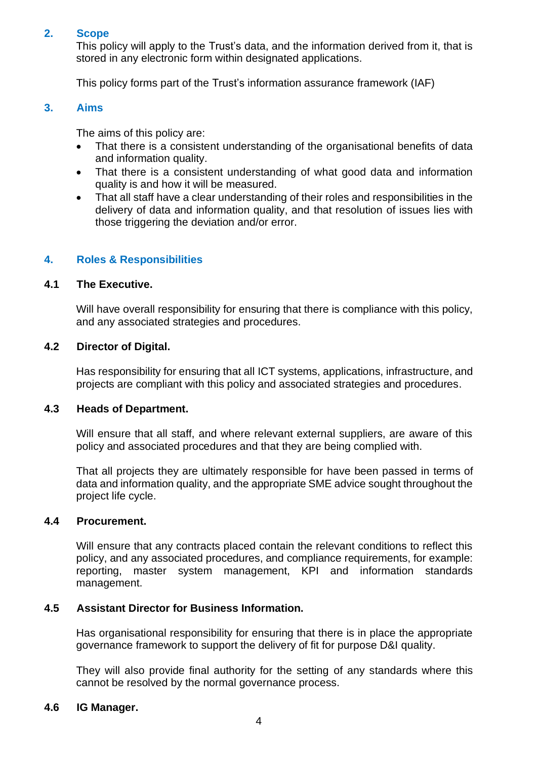## <span id="page-3-0"></span>**2. Scope**

This policy will apply to the Trust's data, and the information derived from it, that is stored in any electronic form within designated applications.

This policy forms part of the Trust's information assurance framework (IAF)

#### <span id="page-3-1"></span>**3. Aims**

The aims of this policy are:

- That there is a consistent understanding of the organisational benefits of data and information quality.
- That there is a consistent understanding of what good data and information quality is and how it will be measured.
- That all staff have a clear understanding of their roles and responsibilities in the delivery of data and information quality, and that resolution of issues lies with those triggering the deviation and/or error.

## <span id="page-3-2"></span>**4. Roles & Responsibilities**

#### **4.1 The Executive.**

Will have overall responsibility for ensuring that there is compliance with this policy, and any associated strategies and procedures.

#### **4.2 Director of Digital.**

Has responsibility for ensuring that all ICT systems, applications, infrastructure, and projects are compliant with this policy and associated strategies and procedures.

#### **4.3 Heads of Department.**

Will ensure that all staff, and where relevant external suppliers, are aware of this policy and associated procedures and that they are being complied with.

That all projects they are ultimately responsible for have been passed in terms of data and information quality, and the appropriate SME advice sought throughout the project life cycle.

#### **4.4 Procurement.**

Will ensure that any contracts placed contain the relevant conditions to reflect this policy, and any associated procedures, and compliance requirements, for example: reporting, master system management, KPI and information standards management.

## **4.5 Assistant Director for Business Information.**

Has organisational responsibility for ensuring that there is in place the appropriate governance framework to support the delivery of fit for purpose D&I quality.

They will also provide final authority for the setting of any standards where this cannot be resolved by the normal governance process.

#### **4.6 IG Manager.**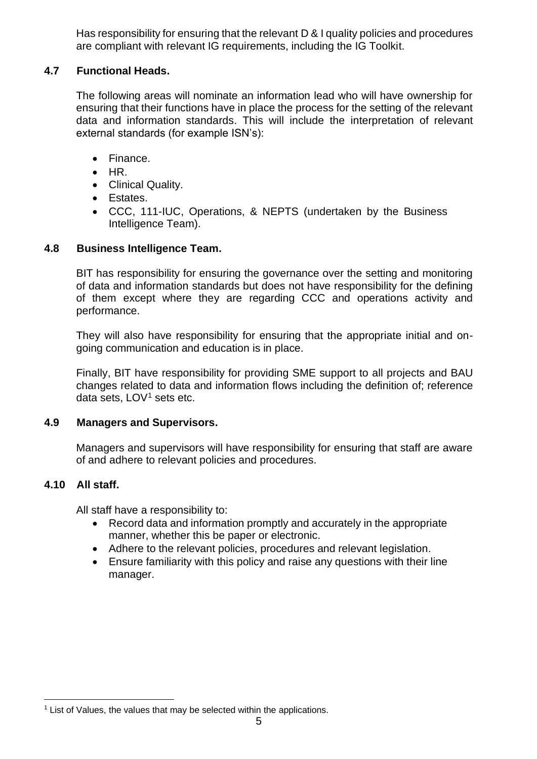Has responsibility for ensuring that the relevant D & I quality policies and procedures are compliant with relevant IG requirements, including the IG Toolkit.

## **4.7 Functional Heads.**

The following areas will nominate an information lead who will have ownership for ensuring that their functions have in place the process for the setting of the relevant data and information standards. This will include the interpretation of relevant external standards (for example ISN's):

- Finance.
- HR.
- Clinical Quality.
- Estates.
- CCC, 111-IUC, Operations, & NEPTS (undertaken by the Business Intelligence Team).

## **4.8 Business Intelligence Team.**

BIT has responsibility for ensuring the governance over the setting and monitoring of data and information standards but does not have responsibility for the defining of them except where they are regarding CCC and operations activity and performance.

They will also have responsibility for ensuring that the appropriate initial and ongoing communication and education is in place.

Finally, BIT have responsibility for providing SME support to all projects and BAU changes related to data and information flows including the definition of; reference data sets,  $LOV<sup>1</sup>$  sets etc.

## **4.9 Managers and Supervisors.**

Managers and supervisors will have responsibility for ensuring that staff are aware of and adhere to relevant policies and procedures.

## **4.10 All staff.**

All staff have a responsibility to:

- Record data and information promptly and accurately in the appropriate manner, whether this be paper or electronic.
- Adhere to the relevant policies, procedures and relevant legislation.
- Ensure familiarity with this policy and raise any questions with their line manager.

<sup>&</sup>lt;sup>1</sup> List of Values, the values that may be selected within the applications.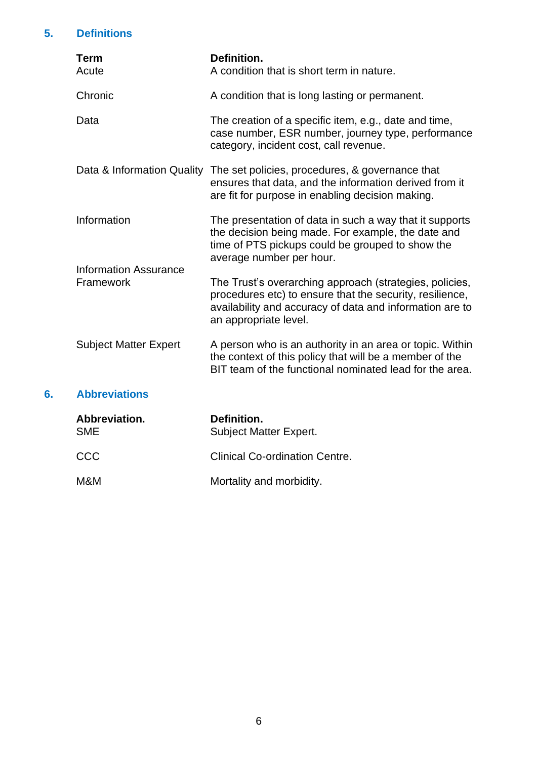## <span id="page-5-0"></span>**5. Definitions**

<span id="page-5-1"></span>**6. Abbreviations**

| <b>Term</b><br>Acute                        | Definition.<br>A condition that is short term in nature.                                                                                                                                                 |  |  |  |
|---------------------------------------------|----------------------------------------------------------------------------------------------------------------------------------------------------------------------------------------------------------|--|--|--|
| Chronic                                     | A condition that is long lasting or permanent.                                                                                                                                                           |  |  |  |
| Data                                        | The creation of a specific item, e.g., date and time,<br>case number, ESR number, journey type, performance<br>category, incident cost, call revenue.                                                    |  |  |  |
|                                             | Data & Information Quality The set policies, procedures, & governance that<br>ensures that data, and the information derived from it<br>are fit for purpose in enabling decision making.                 |  |  |  |
| Information<br><b>Information Assurance</b> | The presentation of data in such a way that it supports<br>the decision being made. For example, the date and<br>time of PTS pickups could be grouped to show the<br>average number per hour.            |  |  |  |
| Framework                                   | The Trust's overarching approach (strategies, policies,<br>procedures etc) to ensure that the security, resilience,<br>availability and accuracy of data and information are to<br>an appropriate level. |  |  |  |
| <b>Subject Matter Expert</b>                | A person who is an authority in an area or topic. Within<br>the context of this policy that will be a member of the<br>BIT team of the functional nominated lead for the area.                           |  |  |  |
| <b>Abbreviations</b>                        |                                                                                                                                                                                                          |  |  |  |
| Abbreviation.<br><b>SME</b>                 | Definition.<br><b>Subject Matter Expert.</b>                                                                                                                                                             |  |  |  |
| CCC                                         | <b>Clinical Co-ordination Centre.</b>                                                                                                                                                                    |  |  |  |

M&M Mortality and morbidity.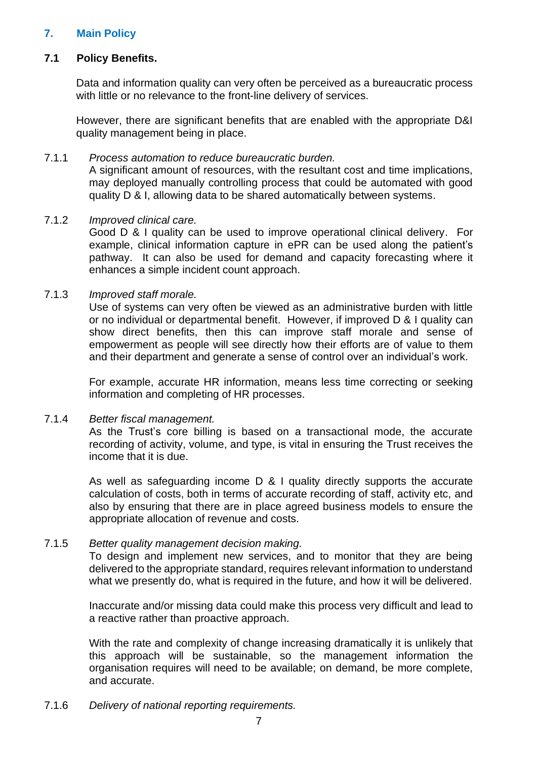## <span id="page-6-0"></span>**7. Main Policy**

## **7.1 Policy Benefits.**

Data and information quality can very often be perceived as a bureaucratic process with little or no relevance to the front-line delivery of services.

However, there are significant benefits that are enabled with the appropriate D&I quality management being in place.

#### 7.1.1 *Process automation to reduce bureaucratic burden.*

A significant amount of resources, with the resultant cost and time implications, may deployed manually controlling process that could be automated with good quality D & I, allowing data to be shared automatically between systems.

#### 7.1.2 *Improved clinical care.*

Good D & I quality can be used to improve operational clinical delivery. For example, clinical information capture in ePR can be used along the patient's pathway. It can also be used for demand and capacity forecasting where it enhances a simple incident count approach.

#### 7.1.3 *Improved staff morale.*

Use of systems can very often be viewed as an administrative burden with little or no individual or departmental benefit. However, if improved D & I quality can show direct benefits, then this can improve staff morale and sense of empowerment as people will see directly how their efforts are of value to them and their department and generate a sense of control over an individual's work.

For example, accurate HR information, means less time correcting or seeking information and completing of HR processes.

#### 7.1.4 *Better fiscal management.*

As the Trust's core billing is based on a transactional mode, the accurate recording of activity, volume, and type, is vital in ensuring the Trust receives the income that it is due.

As well as safeguarding income D & I quality directly supports the accurate calculation of costs, both in terms of accurate recording of staff, activity etc, and also by ensuring that there are in place agreed business models to ensure the appropriate allocation of revenue and costs.

#### 7.1.5 *Better quality management decision making.*

To design and implement new services, and to monitor that they are being delivered to the appropriate standard, requires relevant information to understand what we presently do, what is required in the future, and how it will be delivered.

Inaccurate and/or missing data could make this process very difficult and lead to a reactive rather than proactive approach.

With the rate and complexity of change increasing dramatically it is unlikely that this approach will be sustainable, so the management information the organisation requires will need to be available; on demand, be more complete, and accurate.

7.1.6 *Delivery of national reporting requirements.*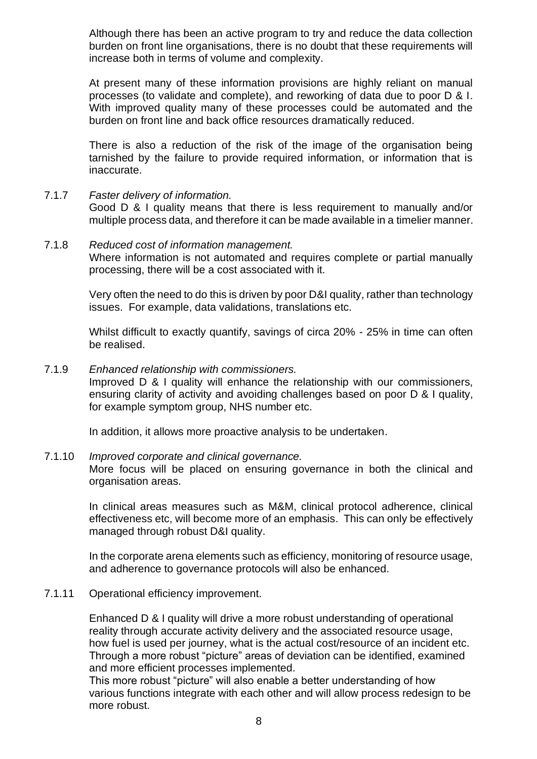Although there has been an active program to try and reduce the data collection burden on front line organisations, there is no doubt that these requirements will increase both in terms of volume and complexity.

At present many of these information provisions are highly reliant on manual processes (to validate and complete), and reworking of data due to poor D & I. With improved quality many of these processes could be automated and the burden on front line and back office resources dramatically reduced.

There is also a reduction of the risk of the image of the organisation being tarnished by the failure to provide required information, or information that is inaccurate.

#### 7.1.7 *Faster delivery of information.*

Good D & I quality means that there is less requirement to manually and/or multiple process data, and therefore it can be made available in a timelier manner.

#### 7.1.8 *Reduced cost of information management.*

Where information is not automated and requires complete or partial manually processing, there will be a cost associated with it.

Very often the need to do this is driven by poor D&I quality, rather than technology issues. For example, data validations, translations etc.

Whilst difficult to exactly quantify, savings of circa 20% - 25% in time can often be realised.

#### 7.1.9 *Enhanced relationship with commissioners.*

Improved D & I quality will enhance the relationship with our commissioners, ensuring clarity of activity and avoiding challenges based on poor D & I quality, for example symptom group, NHS number etc.

In addition, it allows more proactive analysis to be undertaken.

#### 7.1.10 *Improved corporate and clinical governance.*

More focus will be placed on ensuring governance in both the clinical and organisation areas.

In clinical areas measures such as M&M, clinical protocol adherence, clinical effectiveness etc, will become more of an emphasis. This can only be effectively managed through robust D&I quality.

In the corporate arena elements such as efficiency, monitoring of resource usage, and adherence to governance protocols will also be enhanced.

#### 7.1.11 Operational efficiency improvement.

Enhanced D & I quality will drive a more robust understanding of operational reality through accurate activity delivery and the associated resource usage, how fuel is used per journey, what is the actual cost/resource of an incident etc. Through a more robust "picture" areas of deviation can be identified, examined and more efficient processes implemented.

This more robust "picture" will also enable a better understanding of how various functions integrate with each other and will allow process redesign to be more robust.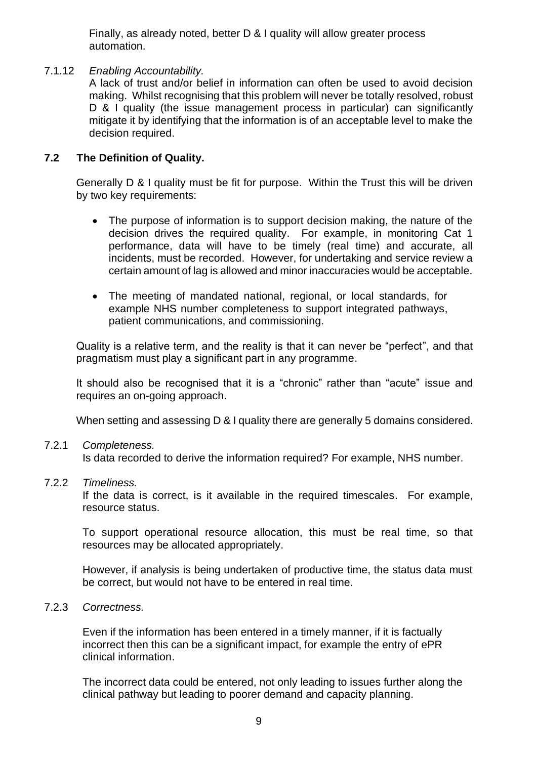Finally, as already noted, better D & I quality will allow greater process automation.

#### 7.1.12 *Enabling Accountability.*

A lack of trust and/or belief in information can often be used to avoid decision making. Whilst recognising that this problem will never be totally resolved, robust D & I quality (the issue management process in particular) can significantly mitigate it by identifying that the information is of an acceptable level to make the decision required.

#### **7.2 The Definition of Quality.**

Generally D & I quality must be fit for purpose. Within the Trust this will be driven by two key requirements:

- The purpose of information is to support decision making, the nature of the decision drives the required quality. For example, in monitoring Cat 1 performance, data will have to be timely (real time) and accurate, all incidents, must be recorded. However, for undertaking and service review a certain amount of lag is allowed and minor inaccuracies would be acceptable.
- The meeting of mandated national, regional, or local standards, for example NHS number completeness to support integrated pathways, patient communications, and commissioning.

Quality is a relative term, and the reality is that it can never be "perfect", and that pragmatism must play a significant part in any programme.

It should also be recognised that it is a "chronic" rather than "acute" issue and requires an on-going approach.

When setting and assessing D & I quality there are generally 5 domains considered.

#### 7.2.1 *Completeness.*

Is data recorded to derive the information required? For example, NHS number.

#### 7.2.2 *Timeliness.*

If the data is correct, is it available in the required timescales. For example, resource status.

To support operational resource allocation, this must be real time, so that resources may be allocated appropriately.

However, if analysis is being undertaken of productive time, the status data must be correct, but would not have to be entered in real time.

#### 7.2.3 *Correctness.*

Even if the information has been entered in a timely manner, if it is factually incorrect then this can be a significant impact, for example the entry of ePR clinical information.

The incorrect data could be entered, not only leading to issues further along the clinical pathway but leading to poorer demand and capacity planning.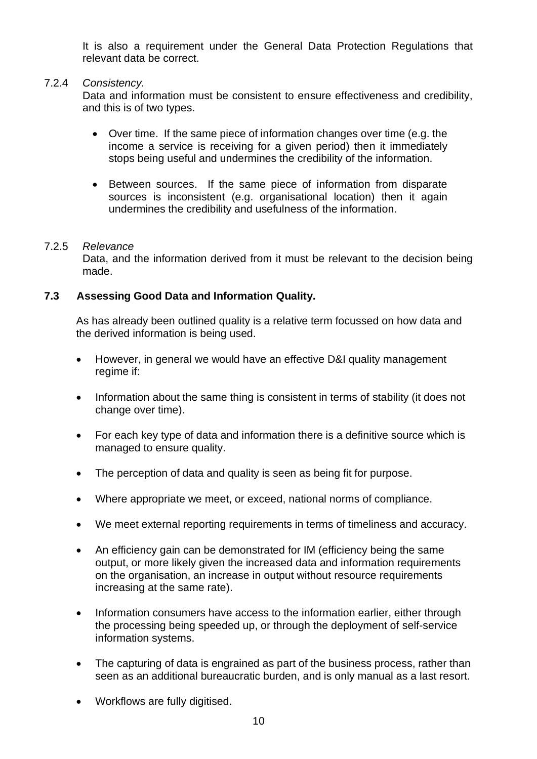It is also a requirement under the General Data Protection Regulations that relevant data be correct.

#### 7.2.4 *Consistency.*

Data and information must be consistent to ensure effectiveness and credibility, and this is of two types.

- Over time. If the same piece of information changes over time (e.g. the income a service is receiving for a given period) then it immediately stops being useful and undermines the credibility of the information.
- Between sources. If the same piece of information from disparate sources is inconsistent (e.g. organisational location) then it again undermines the credibility and usefulness of the information.

#### 7.2.5 *Relevance*

Data, and the information derived from it must be relevant to the decision being made.

#### **7.3 Assessing Good Data and Information Quality.**

As has already been outlined quality is a relative term focussed on how data and the derived information is being used.

- However, in general we would have an effective D&I quality management regime if:
- Information about the same thing is consistent in terms of stability (it does not change over time).
- For each key type of data and information there is a definitive source which is managed to ensure quality.
- The perception of data and quality is seen as being fit for purpose.
- Where appropriate we meet, or exceed, national norms of compliance.
- We meet external reporting requirements in terms of timeliness and accuracy.
- An efficiency gain can be demonstrated for IM (efficiency being the same output, or more likely given the increased data and information requirements on the organisation, an increase in output without resource requirements increasing at the same rate).
- Information consumers have access to the information earlier, either through the processing being speeded up, or through the deployment of self-service information systems.
- The capturing of data is engrained as part of the business process, rather than seen as an additional bureaucratic burden, and is only manual as a last resort.
- Workflows are fully digitised.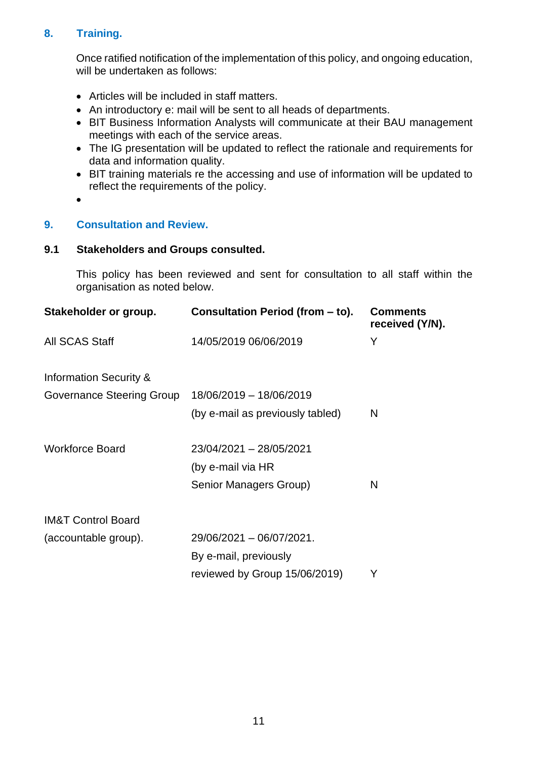## <span id="page-10-0"></span>**8. Training.**

Once ratified notification of the implementation of this policy, and ongoing education, will be undertaken as follows:

- Articles will be included in staff matters.
- An introductory e: mail will be sent to all heads of departments.
- BIT Business Information Analysts will communicate at their BAU management meetings with each of the service areas.
- The IG presentation will be updated to reflect the rationale and requirements for data and information quality.
- BIT training materials re the accessing and use of information will be updated to reflect the requirements of the policy.
- •

## <span id="page-10-1"></span>**9. Consultation and Review.**

#### **9.1 Stakeholders and Groups consulted.**

This policy has been reviewed and sent for consultation to all staff within the organisation as noted below.

| Stakeholder or group.         | Consultation Period (from – to). | <b>Comments</b><br>received (Y/N). |
|-------------------------------|----------------------------------|------------------------------------|
| All SCAS Staff                | 14/05/2019 06/06/2019            | Υ                                  |
| Information Security &        |                                  |                                    |
| Governance Steering Group     | 18/06/2019 - 18/06/2019          |                                    |
|                               | (by e-mail as previously tabled) | N                                  |
| <b>Workforce Board</b>        | 23/04/2021 - 28/05/2021          |                                    |
|                               | (by e-mail via HR                |                                    |
|                               | Senior Managers Group)           | N                                  |
| <b>IM&amp;T Control Board</b> |                                  |                                    |
| (accountable group).          | 29/06/2021 - 06/07/2021.         |                                    |
|                               | By e-mail, previously            |                                    |
|                               | reviewed by Group 15/06/2019)    | Y                                  |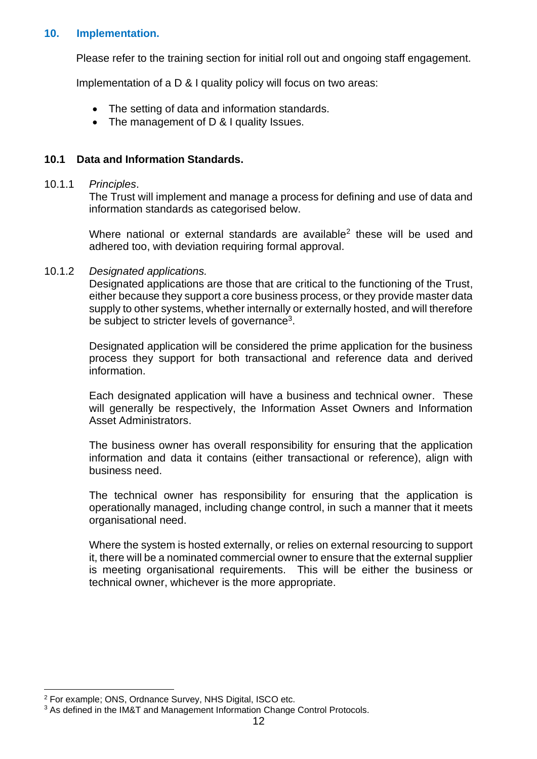## <span id="page-11-0"></span>**10. Implementation.**

Please refer to the training section for initial roll out and ongoing staff engagement.

Implementation of a D & I quality policy will focus on two areas:

- The setting of data and information standards.
- The management of D & I quality Issues.

## **10.1 Data and Information Standards.**

#### 10.1.1 *Principles*.

The Trust will implement and manage a process for defining and use of data and information standards as categorised below.

Where national or external standards are available<sup>2</sup> these will be used and adhered too, with deviation requiring formal approval.

#### 10.1.2 *Designated applications.*

Designated applications are those that are critical to the functioning of the Trust, either because they support a core business process, or they provide master data supply to other systems, whether internally or externally hosted, and will therefore be subject to stricter levels of governance<sup>3</sup>.

Designated application will be considered the prime application for the business process they support for both transactional and reference data and derived information.

Each designated application will have a business and technical owner. These will generally be respectively, the Information Asset Owners and Information Asset Administrators.

The business owner has overall responsibility for ensuring that the application information and data it contains (either transactional or reference), align with business need.

The technical owner has responsibility for ensuring that the application is operationally managed, including change control, in such a manner that it meets organisational need.

Where the system is hosted externally, or relies on external resourcing to support it, there will be a nominated commercial owner to ensure that the external supplier is meeting organisational requirements. This will be either the business or technical owner, whichever is the more appropriate.

<sup>2</sup> For example; ONS, Ordnance Survey, NHS Digital, ISCO etc.

<sup>&</sup>lt;sup>3</sup> As defined in the IM&T and Management Information Change Control Protocols.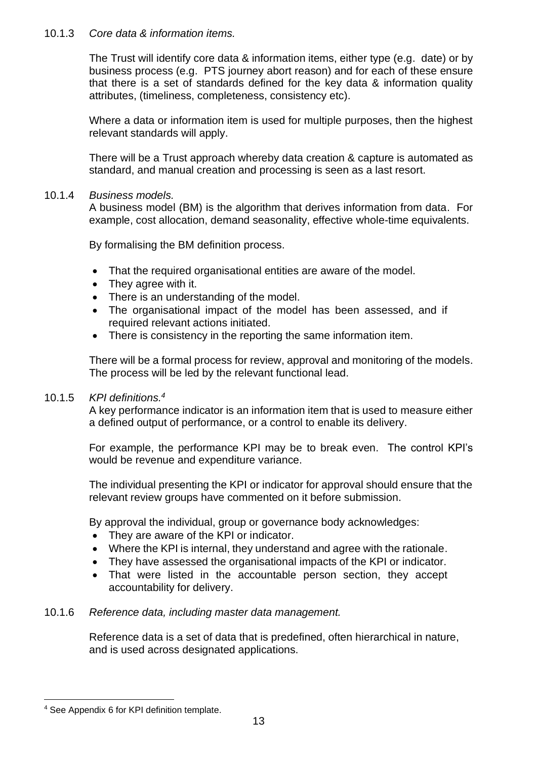## 10.1.3 *Core data & information items.*

The Trust will identify core data & information items, either type (e.g. date) or by business process (e.g. PTS journey abort reason) and for each of these ensure that there is a set of standards defined for the key data & information quality attributes, (timeliness, completeness, consistency etc).

Where a data or information item is used for multiple purposes, then the highest relevant standards will apply.

There will be a Trust approach whereby data creation & capture is automated as standard, and manual creation and processing is seen as a last resort.

#### 10.1.4 *Business models.*

A business model (BM) is the algorithm that derives information from data. For example, cost allocation, demand seasonality, effective whole-time equivalents.

By formalising the BM definition process.

- That the required organisational entities are aware of the model.
- They agree with it.
- There is an understanding of the model.
- The organisational impact of the model has been assessed, and if required relevant actions initiated.
- There is consistency in the reporting the same information item.

There will be a formal process for review, approval and monitoring of the models. The process will be led by the relevant functional lead.

#### 10.1.5 *KPI definitions.<sup>4</sup>*

A key performance indicator is an information item that is used to measure either a defined output of performance, or a control to enable its delivery.

For example, the performance KPI may be to break even. The control KPI's would be revenue and expenditure variance.

The individual presenting the KPI or indicator for approval should ensure that the relevant review groups have commented on it before submission.

By approval the individual, group or governance body acknowledges:

- They are aware of the KPI or indicator.
- Where the KPI is internal, they understand and agree with the rationale.
- They have assessed the organisational impacts of the KPI or indicator.
- That were listed in the accountable person section, they accept accountability for delivery.

#### 10.1.6 *Reference data, including master data management.*

Reference data is a set of data that is predefined, often hierarchical in nature, and is used across designated applications.

<sup>4</sup> See Appendix 6 for KPI definition template.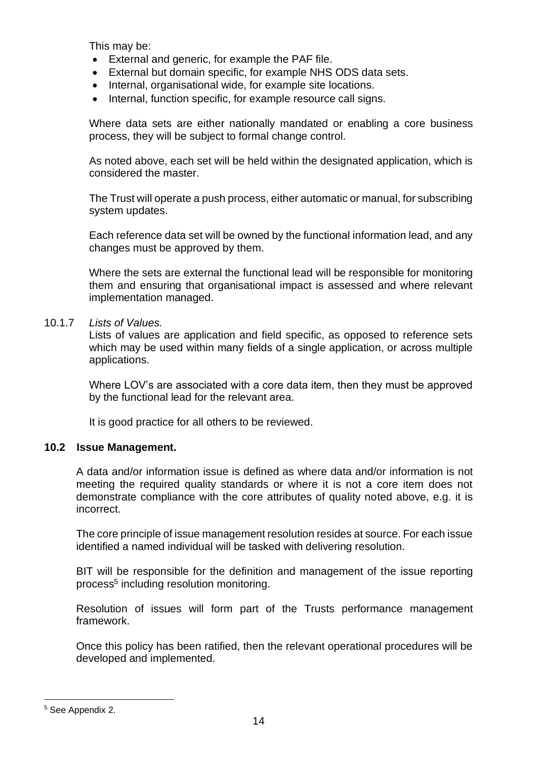This may be:

- External and generic, for example the PAF file.
- External but domain specific, for example NHS ODS data sets.
- Internal, organisational wide, for example site locations.
- Internal, function specific, for example resource call signs.

Where data sets are either nationally mandated or enabling a core business process, they will be subject to formal change control.

As noted above, each set will be held within the designated application, which is considered the master.

The Trust will operate a push process, either automatic or manual, for subscribing system updates.

Each reference data set will be owned by the functional information lead, and any changes must be approved by them.

Where the sets are external the functional lead will be responsible for monitoring them and ensuring that organisational impact is assessed and where relevant implementation managed.

#### 10.1.7 *Lists of Values.*

Lists of values are application and field specific, as opposed to reference sets which may be used within many fields of a single application, or across multiple applications.

Where LOV's are associated with a core data item, then they must be approved by the functional lead for the relevant area.

It is good practice for all others to be reviewed.

#### **10.2 Issue Management.**

A data and/or information issue is defined as where data and/or information is not meeting the required quality standards or where it is not a core item does not demonstrate compliance with the core attributes of quality noted above, e.g. it is incorrect.

The core principle of issue management resolution resides at source. For each issue identified a named individual will be tasked with delivering resolution.

BIT will be responsible for the definition and management of the issue reporting process<sup>5</sup> including resolution monitoring.

Resolution of issues will form part of the Trusts performance management framework.

Once this policy has been ratified, then the relevant operational procedures will be developed and implemented.

<sup>5</sup> See Appendix 2.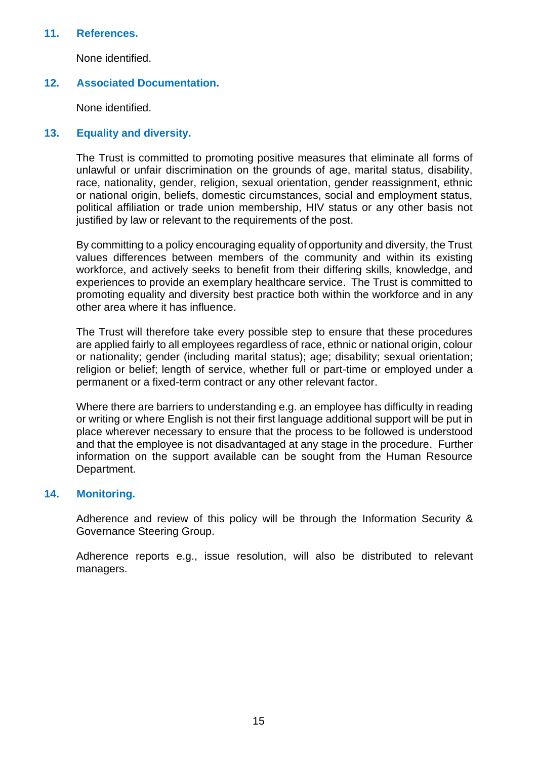#### <span id="page-14-0"></span>**11. References.**

None identified.

#### <span id="page-14-1"></span>**12. Associated Documentation.**

None identified.

#### <span id="page-14-2"></span>**13. Equality and diversity.**

The Trust is committed to promoting positive measures that eliminate all forms of unlawful or unfair discrimination on the grounds of age, marital status, disability, race, nationality, gender, religion, sexual orientation, gender reassignment, ethnic or national origin, beliefs, domestic circumstances, social and employment status, political affiliation or trade union membership, HIV status or any other basis not justified by law or relevant to the requirements of the post.

By committing to a policy encouraging equality of opportunity and diversity, the Trust values differences between members of the community and within its existing workforce, and actively seeks to benefit from their differing skills, knowledge, and experiences to provide an exemplary healthcare service. The Trust is committed to promoting equality and diversity best practice both within the workforce and in any other area where it has influence.

The Trust will therefore take every possible step to ensure that these procedures are applied fairly to all employees regardless of race, ethnic or national origin, colour or nationality; gender (including marital status); age; disability; sexual orientation; religion or belief; length of service, whether full or part-time or employed under a permanent or a fixed-term contract or any other relevant factor.

Where there are barriers to understanding e.g. an employee has difficulty in reading or writing or where English is not their first language additional support will be put in place wherever necessary to ensure that the process to be followed is understood and that the employee is not disadvantaged at any stage in the procedure. Further information on the support available can be sought from the Human Resource Department.

#### <span id="page-14-3"></span>**14. Monitoring.**

Adherence and review of this policy will be through the Information Security & Governance Steering Group.

Adherence reports e.g., issue resolution, will also be distributed to relevant managers.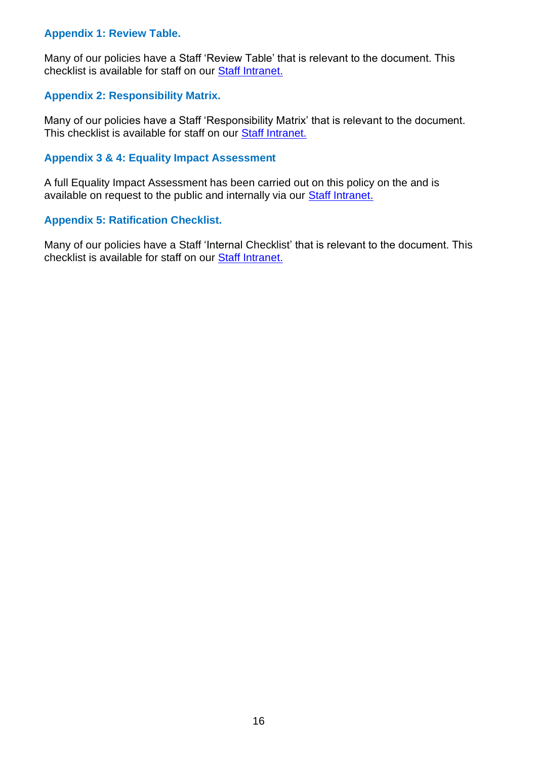## <span id="page-15-0"></span>**Appendix 1: Review Table.**

Many of our policies have a Staff 'Review Table' that is relevant to the document. This checklist is available for staff on our [Staff Intranet.](https://www.scas.nhs.uk/intranet/)

## <span id="page-15-1"></span>**Appendix 2: Responsibility Matrix.**

Many of our policies have a Staff 'Responsibility Matrix' that is relevant to the document. This checklist is available for staff on our [Staff Intranet.](https://www.scas.nhs.uk/intranet/)

## <span id="page-15-2"></span>**Appendix 3 & 4: Equality Impact Assessment**

A full Equality Impact Assessment has been carried out on this policy on the and is available on request to the public and internally via our **[Staff Intranet.](https://www.scas.nhs.uk/intranet/)** 

## <span id="page-15-3"></span>**Appendix 5: Ratification Checklist.**

Many of our policies have a Staff 'Internal Checklist' that is relevant to the document. This checklist is available for staff on our **Staff Intranet.**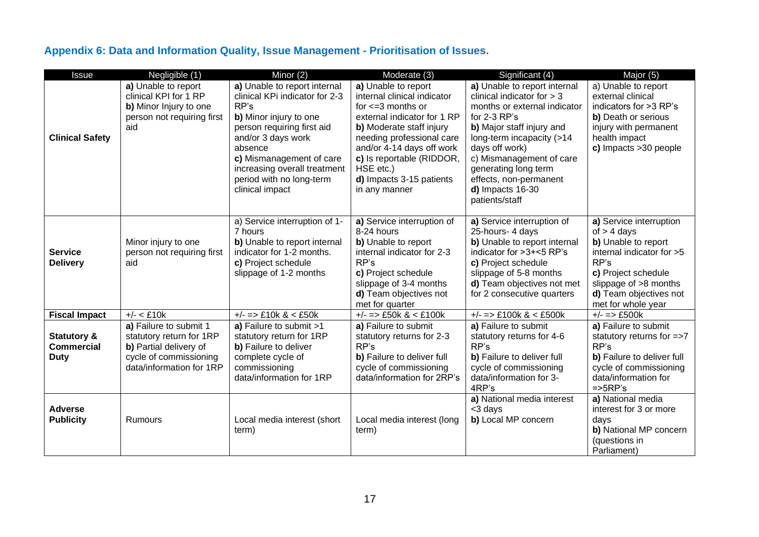## **Appendix 6: Data and Information Quality, Issue Management - Prioritisation of Issues.**

<span id="page-16-0"></span>

| <b>Issue</b>                                               | Negligible (1)                                                                                                                     | Minor (2)                                                                                                                                                                                                                                                                  | Moderate (3)                                                                                                                                                                                                                                                                               | Significant (4)                                                                                                                                                                                                                                                                                              | Major (5)                                                                                                                                                                                            |
|------------------------------------------------------------|------------------------------------------------------------------------------------------------------------------------------------|----------------------------------------------------------------------------------------------------------------------------------------------------------------------------------------------------------------------------------------------------------------------------|--------------------------------------------------------------------------------------------------------------------------------------------------------------------------------------------------------------------------------------------------------------------------------------------|--------------------------------------------------------------------------------------------------------------------------------------------------------------------------------------------------------------------------------------------------------------------------------------------------------------|------------------------------------------------------------------------------------------------------------------------------------------------------------------------------------------------------|
| <b>Clinical Safety</b>                                     | a) Unable to report<br>clinical KPI for 1 RP<br>b) Minor Injury to one<br>person not requiring first<br>aid                        | a) Unable to report internal<br>clinical KPi indicator for 2-3<br>RP's<br>b) Minor injury to one<br>person requiring first aid<br>and/or 3 days work<br>absence<br>c) Mismanagement of care<br>increasing overall treatment<br>period with no long-term<br>clinical impact | a) Unable to report<br>internal clinical indicator<br>for $\leq$ = 3 months or<br>external indicator for 1 RP<br>b) Moderate staff injury<br>needing professional care<br>and/or 4-14 days off work<br>c) Is reportable (RIDDOR,<br>HSE etc.)<br>d) Impacts 3-15 patients<br>in any manner | a) Unable to report internal<br>clinical indicator for $>$ 3<br>months or external indicator<br>for 2-3 RP's<br>b) Major staff injury and<br>long-term incapacity (>14<br>days off work)<br>c) Mismanagement of care<br>generating long term<br>effects, non-permanent<br>d) Impacts 16-30<br>patients/staff | a) Unable to report<br>external clinical<br>indicators for >3 RP's<br>b) Death or serious<br>injury with permanent<br>health impact<br>c) Impacts > 30 people                                        |
| <b>Service</b><br><b>Delivery</b>                          | Minor injury to one<br>person not requiring first<br>aid                                                                           | a) Service interruption of 1-<br>7 hours<br>b) Unable to report internal<br>indicator for 1-2 months.<br>c) Project schedule<br>slippage of 1-2 months                                                                                                                     | a) Service interruption of<br>8-24 hours<br>b) Unable to report<br>internal indicator for 2-3<br>RP's<br>c) Project schedule<br>slippage of 3-4 months<br>d) Team objectives not<br>met for quarter                                                                                        | a) Service interruption of<br>25-hours- 4 days<br>b) Unable to report internal<br>indicator for >3+<5 RP's<br>c) Project schedule<br>slippage of 5-8 months<br>d) Team objectives not met<br>for 2 consecutive quarters                                                                                      | a) Service interruption<br>$of > 4$ days<br>b) Unable to report<br>internal indicator for >5<br>RP's<br>c) Project schedule<br>slippage of >8 months<br>d) Team objectives not<br>met for whole year |
| <b>Fiscal Impact</b>                                       | $+/- <$ £10 $k$                                                                                                                    | $+/-$ => £10k & < £50k                                                                                                                                                                                                                                                     | $+/-$ => £50k & < £100k                                                                                                                                                                                                                                                                    | $+/-$ => £100k & < £500k                                                                                                                                                                                                                                                                                     | $+/- = > £500k$                                                                                                                                                                                      |
| <b>Statutory &amp;</b><br><b>Commercial</b><br><b>Duty</b> | a) Failure to submit 1<br>statutory return for 1RP<br>b) Partial delivery of<br>cycle of commissioning<br>data/information for 1RP | a) Failure to submit >1<br>statutory return for 1RP<br>b) Failure to deliver<br>complete cycle of<br>commissioning<br>data/information for 1RP                                                                                                                             | a) Failure to submit<br>statutory returns for 2-3<br>RP's<br>b) Failure to deliver full<br>cycle of commissioning<br>data/information for 2RP's                                                                                                                                            | a) Failure to submit<br>statutory returns for 4-6<br>RP's<br>b) Failure to deliver full<br>cycle of commissioning<br>data/information for 3-<br>4RP's                                                                                                                                                        | a) Failure to submit<br>statutory returns for $=$ >7<br>RP's<br>b) Failure to deliver full<br>cycle of commissioning<br>data/information for<br>$=$ > 5RP's                                          |
| <b>Adverse</b><br><b>Publicity</b>                         | Rumours                                                                                                                            | Local media interest (short<br>term)                                                                                                                                                                                                                                       | Local media interest (long<br>term)                                                                                                                                                                                                                                                        | a) National media interest<br><3 days<br>b) Local MP concern                                                                                                                                                                                                                                                 | a) National media<br>interest for 3 or more<br>days<br>b) National MP concern<br>(questions in<br>Parliament)                                                                                        |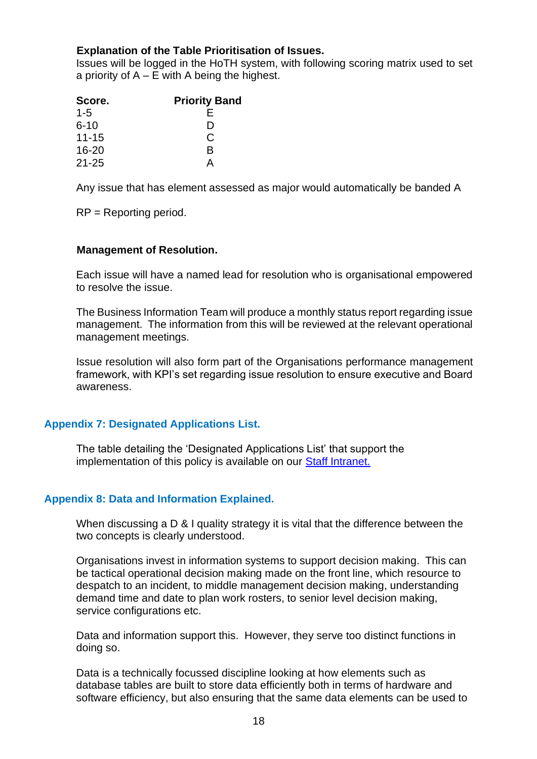## **Explanation of the Table Prioritisation of Issues.**

Issues will be logged in the HoTH system, with following scoring matrix used to set a priority of  $A - E$  with A being the highest.

| Score.    | <b>Priority Band</b> |  |  |
|-----------|----------------------|--|--|
| $1 - 5$   | Е                    |  |  |
| $6 - 10$  | D                    |  |  |
| $11 - 15$ | C                    |  |  |
| $16 - 20$ | R                    |  |  |
| $21 - 25$ |                      |  |  |

Any issue that has element assessed as major would automatically be banded A

RP = Reporting period.

#### **Management of Resolution.**

Each issue will have a named lead for resolution who is organisational empowered to resolve the issue.

The Business Information Team will produce a monthly status report regarding issue management. The information from this will be reviewed at the relevant operational management meetings.

Issue resolution will also form part of the Organisations performance management framework, with KPI's set regarding issue resolution to ensure executive and Board awareness.

#### <span id="page-17-0"></span>**Appendix 7: Designated Applications List.**

The table detailing the 'Designated Applications List' that support the implementation of this policy is available on our [Staff Intranet.](https://www.scas.nhs.uk/intranet/)

#### <span id="page-17-1"></span>**Appendix 8: Data and Information Explained.**

When discussing a D & I quality strategy it is vital that the difference between the two concepts is clearly understood.

Organisations invest in information systems to support decision making. This can be tactical operational decision making made on the front line, which resource to despatch to an incident, to middle management decision making, understanding demand time and date to plan work rosters, to senior level decision making, service configurations etc.

Data and information support this. However, they serve too distinct functions in doing so.

Data is a technically focussed discipline looking at how elements such as database tables are built to store data efficiently both in terms of hardware and software efficiency, but also ensuring that the same data elements can be used to